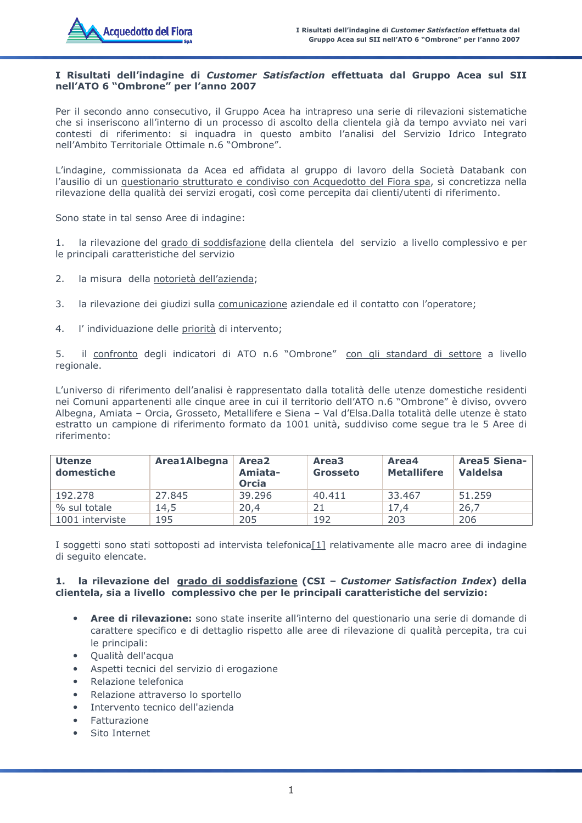## I Risultati dell'indagine di Customer Satisfaction effettuata dal Gruppo Acea sul SII nell'ATO 6 "Ombrone" per l'anno 2007

Per il secondo anno consecutivo, il Gruppo Acea ha intrapreso una serie di rilevazioni sistematiche che si inseriscono all'interno di un processo di ascolto della clientela già da tempo avviato nei vari contesti di riferimento: si inquadra in questo ambito l'analisi del Servizio Idrico Integrato nell'Ambito Territoriale Ottimale n.6 "Ombrone".

L'indagine, commissionata da Acea ed affidata al gruppo di lavoro della Società Databank con l'ausilio di un questionario strutturato e condiviso con Acquedotto del Fiora spa, si concretizza nella rilevazione della qualità dei servizi erogati, così come percepita dai clienti/utenti di riferimento.

Sono state in tal senso Aree di indagine:

1. la rilevazione del grado di soddisfazione della clientela del servizio a livello complessivo e per le principali caratteristiche del servizio

- $2.$ la misura della notorietà dell'azienda;
- 3. la rilevazione dei giudizi sulla comunicazione aziendale ed il contatto con l'operatore;
- $4.$ l'individuazione delle priorità di intervento;

il confronto degli indicatori di ATO n.6 "Ombrone" con gli standard di settore a livello 5. regionale.

L'universo di riferimento dell'analisi è rappresentato dalla totalità delle utenze domestiche residenti nei Comuni appartenenti alle cinque aree in cui il territorio dell'ATO n.6 "Ombrone" è diviso, ovvero Albegna, Amiata - Orcia, Grosseto, Metallifere e Siena - Val d'Elsa. Dalla totalità delle utenze è stato estratto un campione di riferimento formato da 1001 unità, suddiviso come seque tra le 5 Aree di riferimento:

| <b>Utenze</b><br>domestiche | Area1Albegna | Area <sub>2</sub><br>Amiata-<br>Orcia | Area <sub>3</sub><br><b>Grosseto</b> | Area4<br><b>Metallifere</b> | <b>Area5 Siena-</b><br><b>Valdelsa</b> |
|-----------------------------|--------------|---------------------------------------|--------------------------------------|-----------------------------|----------------------------------------|
| 192.278                     | 27.845       | 39.296                                | 40.411                               | 33.467                      | 51,259                                 |
| % sul totale                | 14,5         | 20,4                                  | 21                                   | 17.4                        | 26,7                                   |
| 1001 interviste             | 195          | 205                                   | 192                                  | 203                         | 206                                    |

I soggetti sono stati sottoposti ad intervista telefonica[1] relativamente alle macro aree di indagine di seguito elencate.

### 1. la rilevazione del grado di soddisfazione (CSI - Customer Satisfaction Index) della clientela, sia a livello complessivo che per le principali caratteristiche del servizio:

- Aree di rilevazione: sono state inserite all'interno del questionario una serie di domande di  $\blacksquare$ carattere specifico e di dettaglio rispetto alle aree di rilevazione di qualità percepita, tra cui le principali:
- Qualità dell'acqua
- Aspetti tecnici del servizio di erogazione
- Relazione telefonica  $\bullet$
- Relazione attraverso lo sportello  $\bullet$
- Intervento tecnico dell'azienda
- Fatturazione  $\bullet$
- Sito Internet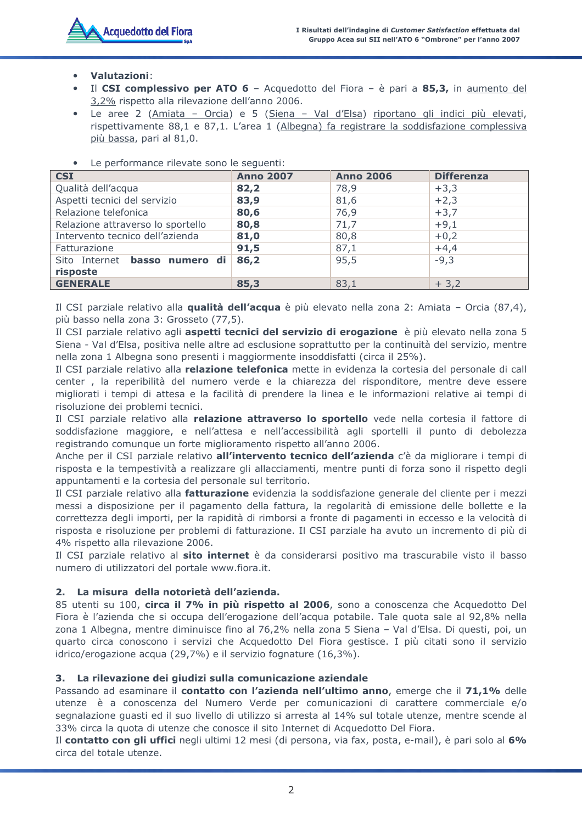# **Valutazioni:**

- Il CSI complessivo per ATO 6 Acquedotto del Fiora è pari a 85,3, in aumento del  $\bullet$ 3,2% rispetto alla rilevazione dell'anno 2006.
- · Le aree 2 (Amiata Orcia) e 5 (Siena Val d'Elsa) riportano gli indici più elevati, rispettivamente 88,1 e 87,1. L'area 1 (Albegna) fa registrare la soddisfazione complessiva più bassa, pari al 81,0.

| Le performance inevate sono le seguenti.         |                  |                  |                   |  |  |  |
|--------------------------------------------------|------------------|------------------|-------------------|--|--|--|
| <b>CSI</b>                                       | <b>Anno 2007</b> | <b>Anno 2006</b> | <b>Differenza</b> |  |  |  |
| Qualità dell'acqua                               | 82,2             | 78,9             | $+3,3$            |  |  |  |
| Aspetti tecnici del servizio                     | 83,9             | 81,6             | $+2,3$            |  |  |  |
| Relazione telefonica                             | 80,6             | 76,9             | $+3,7$            |  |  |  |
| Relazione attraverso lo sportello                | 80,8             | 71,7             | $+9,1$            |  |  |  |
| Intervento tecnico dell'azienda                  | 81,0             | 80,8             | $+0,2$            |  |  |  |
| Fatturazione                                     | 91,5             | 87,1             | $+4,4$            |  |  |  |
| Sito Internet <b>basso numero di</b><br>risposte | 86,2             | 95,5             | $-9,3$            |  |  |  |
| <b>GENERALE</b>                                  | 85,3             | 83,1             | $+3,2$            |  |  |  |

La norformance rilevate cono le cequenti:

Il CSI parziale relativo alla qualità dell'acqua è più elevato nella zona 2: Amiata - Orcia (87,4), più basso nella zona 3: Grosseto (77,5).

Il CSI parziale relativo agli aspetti tecnici del servizio di erogazione è più elevato nella zona 5 Siena - Val d'Elsa, positiva nelle altre ad esclusione soprattutto per la continuità del servizio, mentre nella zona 1 Albegna sono presenti i maggiormente insoddisfatti (circa il 25%).

Il CSI parziale relativo alla relazione telefonica mette in evidenza la cortesia del personale di call center, la reperibilità del numero verde e la chiarezza del risponditore, mentre deve essere migliorati i tempi di attesa e la facilità di prendere la linea e le informazioni relative ai tempi di risoluzione dei problemi tecnici.

Il CSI parziale relativo alla relazione attraverso lo sportello vede nella cortesia il fattore di soddisfazione maggiore, e nell'attesa e nell'accessibilità agli sportelli il punto di debolezza registrando comunque un forte miglioramento rispetto all'anno 2006.

Anche per il CSI parziale relativo all'intervento tecnico dell'azienda c'è da migliorare i tempi di risposta e la tempestività a realizzare gli allacciamenti, mentre punti di forza sono il rispetto degli appuntamenti e la cortesia del personale sul territorio.

Il CSI parziale relativo alla fatturazione evidenzia la soddisfazione generale del cliente per i mezzi messi a disposizione per il pagamento della fattura, la regolarità di emissione delle bollette e la correttezza degli importi, per la rapidità di rimborsi a fronte di pagamenti in eccesso e la velocità di risposta e risoluzione per problemi di fatturazione. Il CSI parziale ha avuto un incremento di più di 4% rispetto alla rilevazione 2006.

Il CSI parziale relativo al sito internet è da considerarsi positivo ma trascurabile visto il basso numero di utilizzatori del portale www.fiora.it.

## 2. La misura della notorietà dell'azienda.

85 utenti su 100, circa il 7% in più rispetto al 2006, sono a conoscenza che Acquedotto Del Fiora è l'azienda che si occupa dell'erogazione dell'acqua potabile. Tale quota sale al 92,8% nella zona 1 Albegna, mentre diminuisce fino al 76,2% nella zona 5 Siena - Val d'Elsa. Di questi, poi, un quarto circa conoscono i servizi che Acquedotto Del Fiora gestisce. I più citati sono il servizio idrico/erogazione acqua (29,7%) e il servizio fognature (16,3%).

## 3. La rilevazione dei giudizi sulla comunicazione aziendale

Passando ad esaminare il contatto con l'azienda nell'ultimo anno, emerge che il 71,1% delle utenze è a conoscenza del Numero Verde per comunicazioni di carattere commerciale e/o segnalazione quasti ed il suo livello di utilizzo si arresta al 14% sul totale utenze, mentre scende al 33% circa la quota di utenze che conosce il sito Internet di Acquedotto Del Fiora.

Il contatto con gli uffici negli ultimi 12 mesi (di persona, via fax, posta, e-mail), è pari solo al 6% circa del totale utenze.